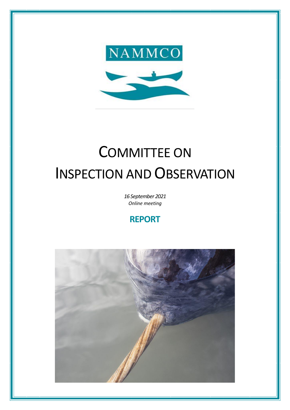

# COMMITTEE ON INSPECTION AND OBSERVATION

*16 September 2021 Online meeting*

# **REPORT**

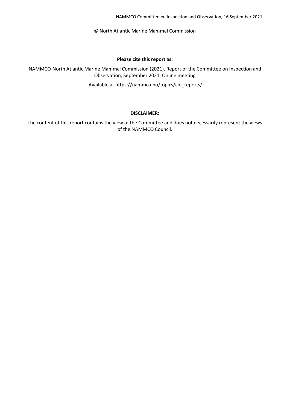NAMMCO Committee on Inspection and Observation, 16 September 2021

© North Atlantic Marine Mammal Commission

#### **Please cite this report as:**

NAMMCO-North Atlantic Marine Mammal Commission (2021). Report of the Committee on Inspection and Observation, September 2021, Online meeting

Available at https://nammco.no/topics/cio\_reports/

#### **DISCLAIMER:**

The content of this report contains the view of the Committee and does not necessarily represent the views of the NAMMCO Council.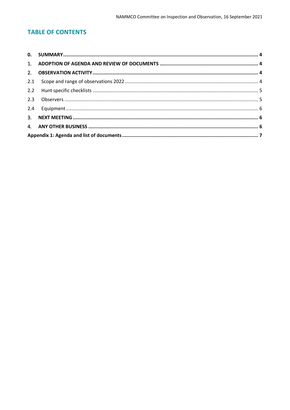# **TABLE OF CONTENTS**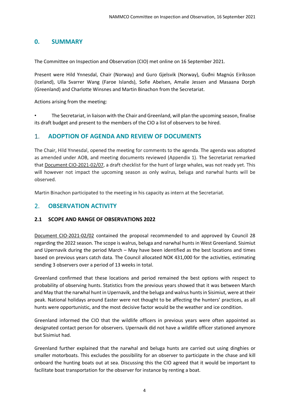# <span id="page-3-0"></span>**0. SUMMARY**

The Committee on Inspection and Observation (CIO) met online on 16 September 2021.

Present were Hild Ynnesdal, Chair (Norway) and Guro Gjelsvik (Norway), Guðni Magnús Eiríksson (Iceland), Ulla Svarrer Wang (Faroe Islands), Sofie Abelsen, Amalie Jessen and Masaana Dorph (Greenland) and Charlotte Winsnes and Martin Binachon from the Secretariat.

Actions arising from the meeting:

• The Secretariat, in liaison with the Chair and Greenland, will plan the upcoming season, finalise its draft budget and present to the members of the CIO a list of observers to be hired.

#### <span id="page-3-1"></span>1. **ADOPTION OF AGENDA AND REVIEW OF DOCUMENTS**

The Chair, Hild Ynnesdal, opened the meeting for comments to the agenda. The agenda was adopted as amended under AOB, and meeting documents reviewed (Appendix 1). The Secretariat remarked that Document CIO-2021-02/07, a draft checklist for the hunt of large whales, was not ready yet. This will however not impact the upcoming season as only walrus, beluga and narwhal hunts will be observed.

Martin Binachon participated to the meeting in his capacity as intern at the Secretariat.

# <span id="page-3-2"></span>2. **OBSERVATION ACTIVITY**

#### <span id="page-3-3"></span>**2.1 SCOPE AND RANGE OF OBSERVATIONS 2022**

Document CIO-2021-02/02 contained the proposal recommended to and approved by Council 28 regarding the 2022 season. The scope is walrus, beluga and narwhal huntsin West Greenland. Sisimiut and Upernavik during the period March – May have been identified as the best locations and times based on previous years catch data. The Council allocated NOK 431,000 for the activities, estimating sending 3 observers over a period of 13 weeks in total.

Greenland confirmed that these locations and period remained the best options with respect to probability of observing hunts. Statistics from the previous years showed that it was between March and May that the narwhal hunt in Upernavik, and the beluga and walrus hunts in Sisimiut, were at their peak. National holidays around Easter were not thought to be affecting the hunters' practices, as all hunts were opportunistic, and the most decisive factor would be the weather and ice condition.

Greenland informed the CIO that the wildlife officers in previous years were often appointed as designated contact person for observers. Upernavik did not have a wildlife officer stationed anymore but Sisimiut had.

Greenland further explained that the narwhal and beluga hunts are carried out using dinghies or smaller motorboats. This excludes the possibility for an observer to participate in the chase and kill onboard the hunting boats out at sea. Discussing this the CIO agreed that it would be important to facilitate boat transportation for the observer for instance by renting a boat.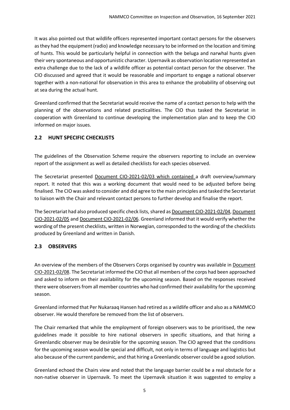It was also pointed out that wildlife officers represented important contact persons for the observers as they had the equipment (radio) and knowledge necessary to be informed on the location and timing of hunts. This would be particularly helpful in connection with the beluga and narwhal hunts given their very spontaneous and opportunistic character. Upernavik as observation location represented an extra challenge due to the lack of a wildlife officer as potential contact person for the observer. The CIO discussed and agreed that it would be reasonable and important to engage a national observer together with a non-national for observation in this area to enhance the probability of observing out at sea during the actual hunt.

Greenland confirmed that the Secretariat would receive the name of a contact person to help with the planning of the observations and related practicalities. The CIO thus tasked the Secretariat in cooperation with Greenland to continue developing the implementation plan and to keep the CIO informed on major issues.

# <span id="page-4-0"></span>**2.2 HUNT SPECIFIC CHECKLISTS**

The guidelines of the Observation Scheme require the observers reporting to include an overview report of the assignment as well as detailed checklists for each species observed.

The Secretariat presented Document CIO-2021-02/03 which contained a draft overview/summary report. It noted that this was a working document that would need to be adjusted before being finalised. The CIO was asked to consider and did agree to the main principles and tasked the Secretariat to liaison with the Chair and relevant contact persons to further develop and finalise the report.

The Secretariat had also produced specific check lists, shared as Document CIO-2021-02/04, Document CIO-2021-02/05 and Document CIO-2021-02/06. Greenland informed that it would verify whether the wording of the present checklists, written in Norwegian, corresponded to the wording of the checklists produced by Greenland and written in Danish.

# <span id="page-4-1"></span>**2.3 OBSERVERS**

An overview of the members of the Observers Corps organised by country was available in Document CIO-2021-02/08. The Secretariat informed the CIO that all members of the corps had been approached and asked to inform on their availability for the upcoming season. Based on the responses received there were observersfrom all member countries who had confirmed their availability forthe upcoming season.

Greenland informed that Per Nukaraaq Hansen had retired as a wildlife officer and also as a NAMMCO observer. He would therefore be removed from the list of observers.

The Chair remarked that while the employment of foreign observers was to be prioritised, the new guidelines made it possible to hire national observers in specific situations, and that hiring a Greenlandic observer may be desirable for the upcoming season. The CIO agreed that the conditions for the upcoming season would be special and difficult, not only in terms of language and logistics but also because of the current pandemic, and that hiring a Greenlandic observer could be a good solution.

Greenland echoed the Chairs view and noted that the language barrier could be a real obstacle for a non-native observer in Upernavik. To meet the Upernavik situation it was suggested to employ a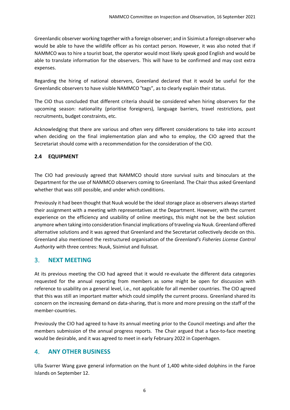Greenlandic observer working together with a foreign observer; and in Sisimiut a foreign observer who would be able to have the wildlife officer as his contact person. However, it was also noted that if NAMMCO was to hire a tourist boat, the operator would most likely speak good English and would be able to translate information for the observers. This will have to be confirmed and may cost extra expenses.

Regarding the hiring of national observers, Greenland declared that it would be useful for the Greenlandic observers to have visible NAMMCO "tags", as to clearly explain their status.

The CIO thus concluded that different criteria should be considered when hiring observers for the upcoming season: nationality (prioritise foreigners), language barriers, travel restrictions, past recruitments, budget constraints, etc.

Acknowledging that there are various and often very different considerations to take into account when deciding on the final implementation plan and who to employ, the CIO agreed that the Secretariat should come with a recommendation for the consideration of the CIO.

#### <span id="page-5-0"></span>**2.4 EQUIPMENT**

The CIO had previously agreed that NAMMCO should store survival suits and binoculars at the Department for the use of NAMMCO observers coming to Greenland. The Chair thus asked Greenland whether that was still possible, and under which conditions.

Previously it had been thought that Nuuk would be the ideal storage place as observers always started their assignment with a meeting with representatives at the Department. However, with the current experience on the efficiency and usability of online meetings, this might not be the best solution anymore when taking into consideration financial implications of traveling via Nuuk. Greenland offered alternative solutions and it was agreed that Greenland and the Secretariat collectively decide on this. Greenland also mentioned the restructured organisation of the *Greenland's Fisheries License Control Authority* with three centres: Nuuk, Sisimiut and Ilulissat.

# <span id="page-5-1"></span>3. **NEXT MEETING**

At its previous meeting the CIO had agreed that it would re-evaluate the different data categories requested for the annual reporting from members as some might be open for discussion with reference to usability on a general level, i.e., not applicable for all member countries. The CIO agreed that this was still an important matter which could simplify the current process. Greenland shared its concern on the increasing demand on data-sharing, that is more and more pressing on the staff of the member-countries.

Previously the CIO had agreed to have its annual meeting prior to the Council meetings and after the members submission of the annual progress reports. The Chair argued that a face-to-face meeting would be desirable, and it was agreed to meet in early February 2022 in Copenhagen.

# <span id="page-5-2"></span>4. **ANY OTHER BUSINESS**

Ulla Svarrer Wang gave general information on the hunt of 1,400 white-sided dolphins in the Faroe Islands on September 12.